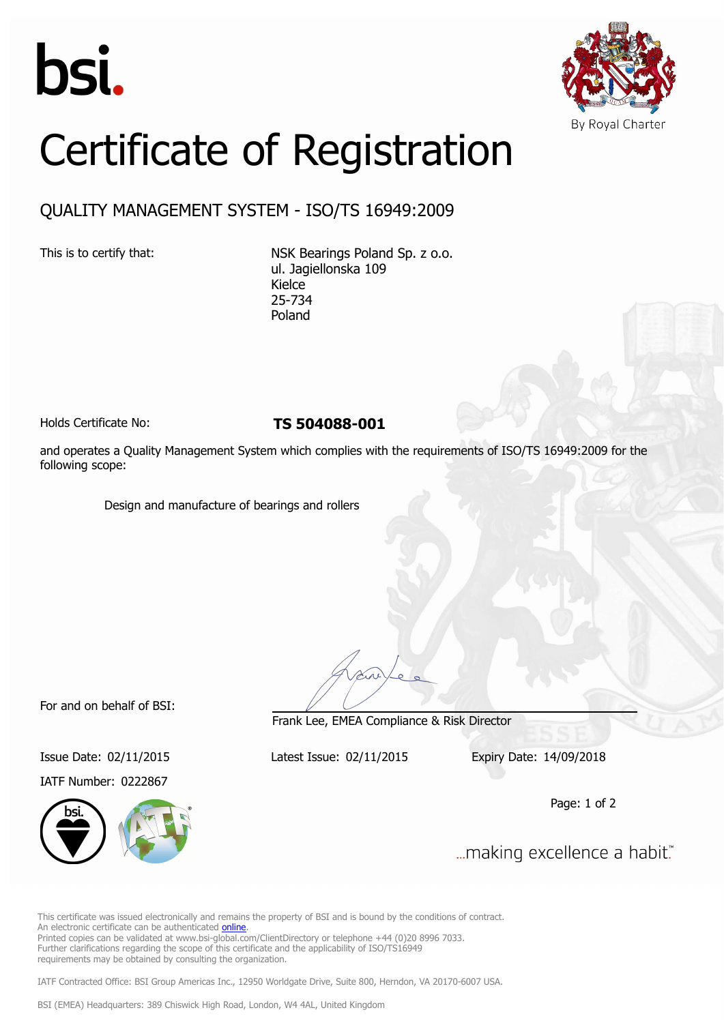



## Certificate of Registration

## QUALITY MANAGEMENT SYSTEM - ISO/TS 16949:2009

This is to certify that: NSK Bearings Poland Sp. z o.o. ul. Jagiellonska 109 Kielce 25-734 Poland

Holds Certificate No: **TS 504088-001**

and operates a Quality Management System which complies with the requirements of ISO/TS 16949:2009 for the following scope:

Design and manufacture of bearings and rollers

For and on behalf of BSI:

IATF Number: 0222867



Frank Lee, EMEA Compliance & Risk Director

Issue Date: 02/11/2015 Latest Issue: 02/11/2015 Expiry Date: 14/09/2018

Page: 1 of 2

... making excellence a habit."

This certificate was issued electronically and remains the property of BSI and is bound by the conditions of contract. An electronic certificate can be authenticated [online](https://pgplus.bsigroup.com/CertificateValidation/CertificateValidator.aspx?CertificateNumber=TS+504088-001&ReIssueDate=02%2f11%2f2015&Template=cemea_en). Printed copies can be validated at www.bsi-global.com/ClientDirectory or telephone +44 (0)20 8996 7033. Further clarifications regarding the scope of this certificate and the applicability of ISO/TS16949 requirements may be obtained by consulting the organization.

IATF Contracted Office: BSI Group Americas Inc., 12950 Worldgate Drive, Suite 800, Herndon, VA 20170-6007 USA.

BSI (EMEA) Headquarters: 389 Chiswick High Road, London, W4 4AL, United Kingdom